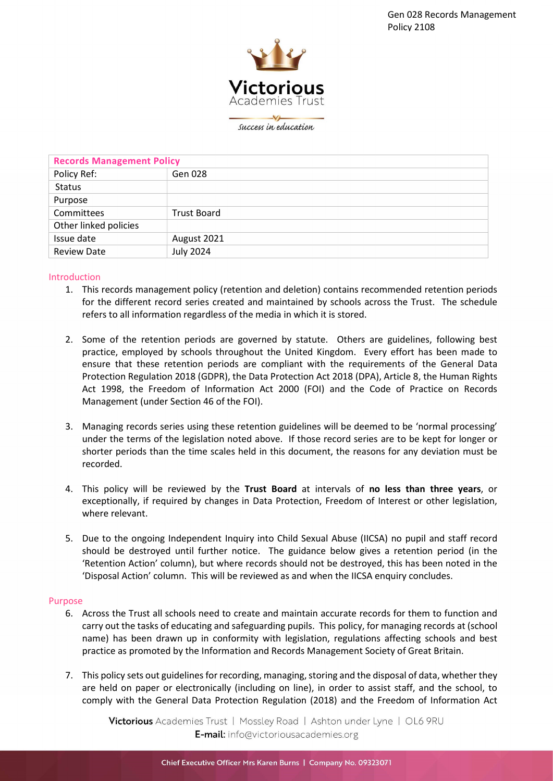

success in education

| <b>Records Management Policy</b> |                    |
|----------------------------------|--------------------|
| Policy Ref:                      | Gen 028            |
| <b>Status</b>                    |                    |
| Purpose                          |                    |
| Committees                       | <b>Trust Board</b> |
| Other linked policies            |                    |
| Issue date                       | August 2021        |
| <b>Review Date</b>               | <b>July 2024</b>   |

#### Introduction

- 1. This records management policy (retention and deletion) contains recommended retention periods for the different record series created and maintained by schools across the Trust. The schedule refers to all information regardless of the media in which it is stored.
- 2. Some of the retention periods are governed by statute. Others are guidelines, following best practice, employed by schools throughout the United Kingdom. Every effort has been made to ensure that these retention periods are compliant with the requirements of the General Data Protection Regulation 2018 (GDPR), the Data Protection Act 2018 (DPA), Article 8, the Human Rights Act 1998, the Freedom of Information Act 2000 (FOI) and the Code of Practice on Records Management (under Section 46 of the FOI).
- 3. Managing records series using these retention guidelines will be deemed to be 'normal processing' under the terms of the legislation noted above. If those record series are to be kept for longer or shorter periods than the time scales held in this document, the reasons for any deviation must be recorded.
- 4. This policy will be reviewed by the Trust Board at intervals of no less than three years, or exceptionally, if required by changes in Data Protection, Freedom of Interest or other legislation, where relevant.
- 5. Due to the ongoing Independent Inquiry into Child Sexual Abuse (IICSA) no pupil and staff record should be destroyed until further notice. The guidance below gives a retention period (in the 'Retention Action' column), but where records should not be destroyed, this has been noted in the 'Disposal Action' column. This will be reviewed as and when the IICSA enquiry concludes.

### Purpose

- 6. Across the Trust all schools need to create and maintain accurate records for them to function and carry out the tasks of educating and safeguarding pupils. This policy, for managing records at (school name) has been drawn up in conformity with legislation, regulations affecting schools and best practice as promoted by the Information and Records Management Society of Great Britain.
- 7. This policy sets out guidelines for recording, managing, storing and the disposal of data, whether they are held on paper or electronically (including on line), in order to assist staff, and the school, to comply with the General Data Protection Regulation (2018) and the Freedom of Information Act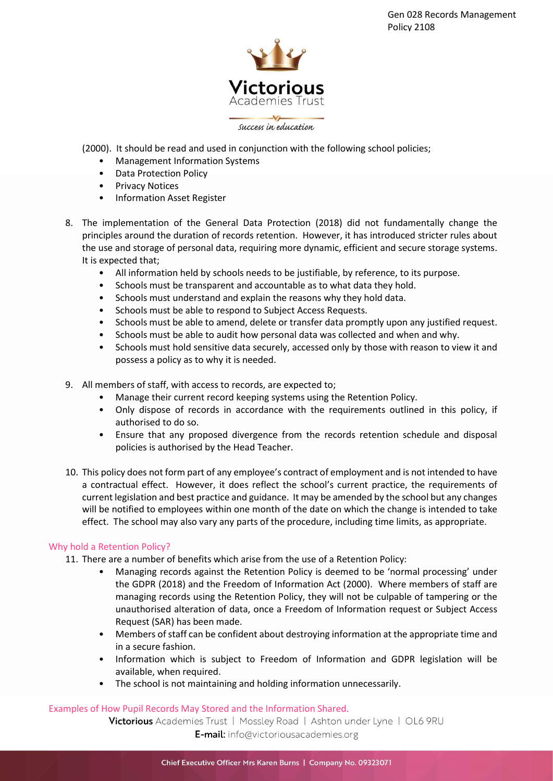

(2000). It should be read and used in conjunction with the following school policies;

- Management Information Systems
- Data Protection Policy
- Privacy Notices
- Information Asset Register
- 8. The implementation of the General Data Protection (2018) did not fundamentally change the principles around the duration of records retention. However, it has introduced stricter rules about the use and storage of personal data, requiring more dynamic, efficient and secure storage systems. It is expected that;
	- All information held by schools needs to be justifiable, by reference, to its purpose.
	- Schools must be transparent and accountable as to what data they hold.
	- Schools must understand and explain the reasons why they hold data.
	- Schools must be able to respond to Subject Access Requests.
	- Schools must be able to amend, delete or transfer data promptly upon any justified request.
	- Schools must be able to audit how personal data was collected and when and why.
	- Schools must hold sensitive data securely, accessed only by those with reason to view it and possess a policy as to why it is needed.
- 9. All members of staff, with access to records, are expected to;
	- Manage their current record keeping systems using the Retention Policy.
	- Only dispose of records in accordance with the requirements outlined in this policy, if authorised to do so.
	- Ensure that any proposed divergence from the records retention schedule and disposal policies is authorised by the Head Teacher.
- 10. This policy does not form part of any employee's contract of employment and is not intended to have a contractual effect. However, it does reflect the school's current practice, the requirements of current legislation and best practice and guidance. It may be amended by the school but any changes will be notified to employees within one month of the date on which the change is intended to take effect. The school may also vary any parts of the procedure, including time limits, as appropriate.

# Why hold a Retention Policy?

- 11. There are a number of benefits which arise from the use of a Retention Policy:
	- Managing records against the Retention Policy is deemed to be 'normal processing' under the GDPR (2018) and the Freedom of Information Act (2000). Where members of staff are managing records using the Retention Policy, they will not be culpable of tampering or the unauthorised alteration of data, once a Freedom of Information request or Subject Access Request (SAR) has been made.
	- Members of staff can be confident about destroying information at the appropriate time and in a secure fashion.
	- Information which is subject to Freedom of Information and GDPR legislation will be available, when required.
	- The school is not maintaining and holding information unnecessarily.

# Examples of How Pupil Records May Stored and the Information Shared.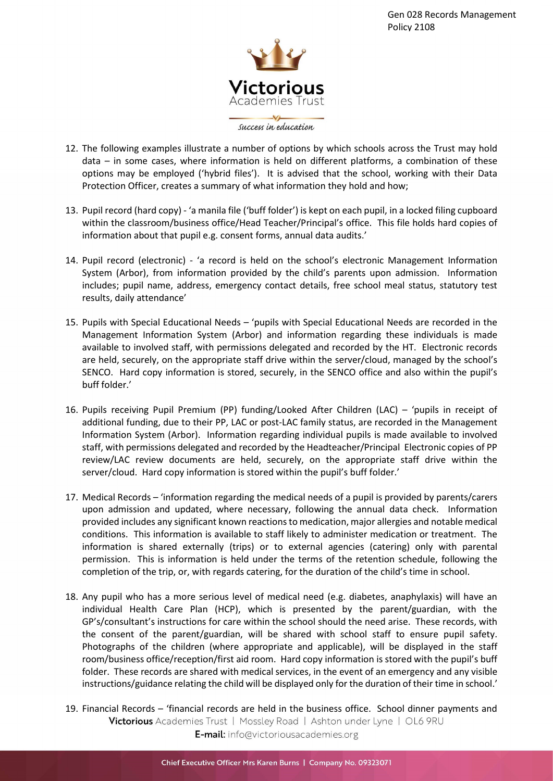

- 12. The following examples illustrate a number of options by which schools across the Trust may hold data – in some cases, where information is held on different platforms, a combination of these options may be employed ('hybrid files'). It is advised that the school, working with their Data Protection Officer, creates a summary of what information they hold and how;
- 13. Pupil record (hard copy) 'a manila file ('buff folder') is kept on each pupil, in a locked filing cupboard within the classroom/business office/Head Teacher/Principal's office. This file holds hard copies of information about that pupil e.g. consent forms, annual data audits.'
- 14. Pupil record (electronic) 'a record is held on the school's electronic Management Information System (Arbor), from information provided by the child's parents upon admission. Information includes; pupil name, address, emergency contact details, free school meal status, statutory test results, daily attendance'
- 15. Pupils with Special Educational Needs 'pupils with Special Educational Needs are recorded in the Management Information System (Arbor) and information regarding these individuals is made available to involved staff, with permissions delegated and recorded by the HT. Electronic records are held, securely, on the appropriate staff drive within the server/cloud, managed by the school's SENCO. Hard copy information is stored, securely, in the SENCO office and also within the pupil's buff folder.'
- 16. Pupils receiving Pupil Premium (PP) funding/Looked After Children (LAC) 'pupils in receipt of additional funding, due to their PP, LAC or post-LAC family status, are recorded in the Management Information System (Arbor). Information regarding individual pupils is made available to involved staff, with permissions delegated and recorded by the Headteacher/Principal Electronic copies of PP review/LAC review documents are held, securely, on the appropriate staff drive within the server/cloud. Hard copy information is stored within the pupil's buff folder.'
- 17. Medical Records 'information regarding the medical needs of a pupil is provided by parents/carers upon admission and updated, where necessary, following the annual data check. Information provided includes any significant known reactions to medication, major allergies and notable medical conditions. This information is available to staff likely to administer medication or treatment. The information is shared externally (trips) or to external agencies (catering) only with parental permission. This is information is held under the terms of the retention schedule, following the completion of the trip, or, with regards catering, for the duration of the child's time in school.
- 18. Any pupil who has a more serious level of medical need (e.g. diabetes, anaphylaxis) will have an individual Health Care Plan (HCP), which is presented by the parent/guardian, with the GP's/consultant's instructions for care within the school should the need arise. These records, with the consent of the parent/guardian, will be shared with school staff to ensure pupil safety. Photographs of the children (where appropriate and applicable), will be displayed in the staff room/business office/reception/first aid room. Hard copy information is stored with the pupil's buff folder. These records are shared with medical services, in the event of an emergency and any visible instructions/guidance relating the child will be displayed only for the duration of their time in school.'
- 19. Financial Records 'financial records are held in the business office. School dinner payments and Victorious Academies Trust | Mossley Road | Ashton under Lyne | OL6 9RU E-mail: info@victoriousacademies.org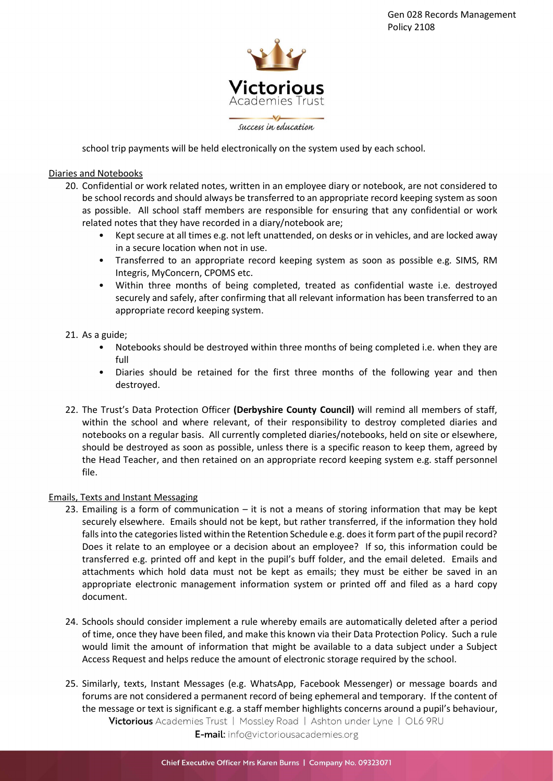

school trip payments will be held electronically on the system used by each school.

## Diaries and Notebooks

- 20. Confidential or work related notes, written in an employee diary or notebook, are not considered to be school records and should always be transferred to an appropriate record keeping system as soon as possible. All school staff members are responsible for ensuring that any confidential or work related notes that they have recorded in a diary/notebook are;
	- Kept secure at all times e.g. not left unattended, on desks or in vehicles, and are locked away in a secure location when not in use.
	- Transferred to an appropriate record keeping system as soon as possible e.g. SIMS, RM Integris, MyConcern, CPOMS etc.
	- Within three months of being completed, treated as confidential waste i.e. destroyed securely and safely, after confirming that all relevant information has been transferred to an appropriate record keeping system.

### 21. As a guide;

- Notebooks should be destroyed within three months of being completed i.e. when they are full
- Diaries should be retained for the first three months of the following year and then destroyed.
- 22. The Trust's Data Protection Officer (Derbyshire County Council) will remind all members of staff, within the school and where relevant, of their responsibility to destroy completed diaries and notebooks on a regular basis. All currently completed diaries/notebooks, held on site or elsewhere, should be destroyed as soon as possible, unless there is a specific reason to keep them, agreed by the Head Teacher, and then retained on an appropriate record keeping system e.g. staff personnel file.

### Emails, Texts and Instant Messaging

- 23. Emailing is a form of communication it is not a means of storing information that may be kept securely elsewhere. Emails should not be kept, but rather transferred, if the information they hold falls into the categories listed within the Retention Schedule e.g. does it form part of the pupil record? Does it relate to an employee or a decision about an employee? If so, this information could be transferred e.g. printed off and kept in the pupil's buff folder, and the email deleted. Emails and attachments which hold data must not be kept as emails; they must be either be saved in an appropriate electronic management information system or printed off and filed as a hard copy document.
- 24. Schools should consider implement a rule whereby emails are automatically deleted after a period of time, once they have been filed, and make this known via their Data Protection Policy. Such a rule would limit the amount of information that might be available to a data subject under a Subject Access Request and helps reduce the amount of electronic storage required by the school.
- 25. Similarly, texts, Instant Messages (e.g. WhatsApp, Facebook Messenger) or message boards and forums are not considered a permanent record of being ephemeral and temporary. If the content of the message or text is significant e.g. a staff member highlights concerns around a pupil's behaviour, Victorious Academies Trust | Mossley Road | Ashton under Lyne | OL6 9RU E-mail: info@victoriousacademies.org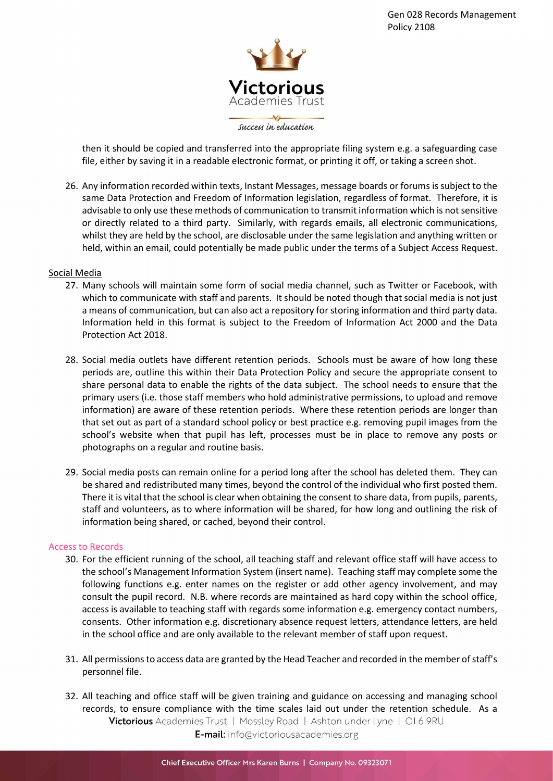

then it should be copied and transferred into the appropriate filing system e.g. a safeguarding case file, either by saving it in a readable electronic format, or printing it off, or taking a screen shot.

26. Any information recorded within texts, Instant Messages, message boards or forums is subject to the same Data Protection and Freedom of Information legislation, regardless of format. Therefore, it is advisable to only use these methods of communication to transmit information which is not sensitive or directly related to a third party. Similarly, with regards emails, all electronic communications, whilst they are held by the school, are disclosable under the same legislation and anything written or held, within an email, could potentially be made public under the terms of a Subject Access Request.

#### Social Media

- 27. Many schools will maintain some form of social media channel, such as Twitter or Facebook, with which to communicate with staff and parents. It should be noted though that social media is not just a means of communication, but can also act a repository for storing information and third party data. Information held in this format is subject to the Freedom of Information Act 2000 and the Data Protection Act 2018.
- 28. Social media outlets have different retention periods. Schools must be aware of how long these periods are, outline this within their Data Protection Policy and secure the appropriate consent to share personal data to enable the rights of the data subject. The school needs to ensure that the primary users (i.e. those staff members who hold administrative permissions, to upload and remove information) are aware of these retention periods. Where these retention periods are longer than that set out as part of a standard school policy or best practice e.g. removing pupil images from the school's website when that pupil has left, processes must be in place to remove any posts or photographs on a regular and routine basis.
- 29. Social media posts can remain online for a period long after the school has deleted them. They can be shared and redistributed many times, beyond the control of the individual who first posted them. There it is vital that the school is clear when obtaining the consent to share data, from pupils, parents, staff and volunteers, as to where information will be shared, for how long and outlining the risk of information being shared, or cached, beyond their control.

#### Access to Records

- 30. For the efficient running of the school, all teaching staff and relevant office staff will have access to the school's Management Information System (insert name). Teaching staff may complete some the following functions e.g. enter names on the register or add other agency involvement, and may consult the pupil record. N.B. where records are maintained as hard copy within the school office, access is available to teaching staff with regards some information e.g. emergency contact numbers, consents. Other information e.g. discretionary absence request letters, attendance letters, are held in the school office and are only available to the relevant member of staff upon request.
- 31. All permissions to access data are granted by the Head Teacher and recorded in the member of staff's personnel file.
- 32. All teaching and office staff will be given training and guidance on accessing and managing school records, to ensure compliance with the time scales laid out under the retention schedule. As a Victorious Academies Trust | Mossley Road | Ashton under Lyne | OL6 9RU E-mail: info@victoriousacademies.org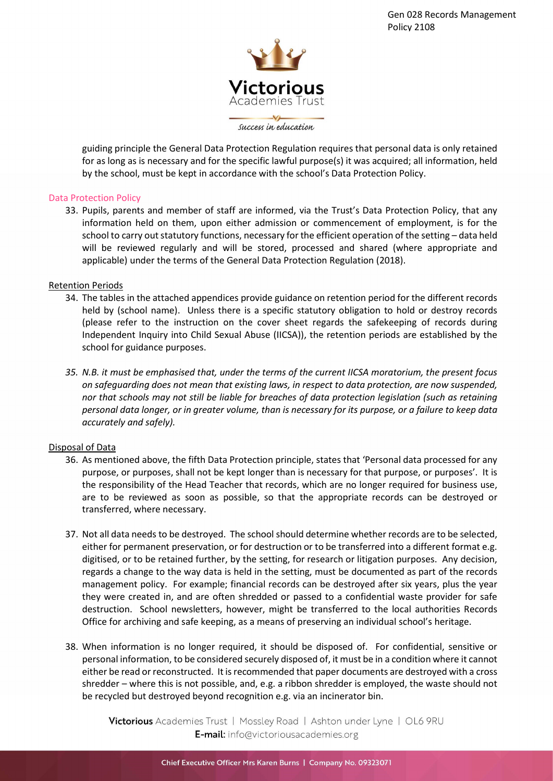

guiding principle the General Data Protection Regulation requires that personal data is only retained for as long as is necessary and for the specific lawful purpose(s) it was acquired; all information, held by the school, must be kept in accordance with the school's Data Protection Policy.

### Data Protection Policy

33. Pupils, parents and member of staff are informed, via the Trust's Data Protection Policy, that any information held on them, upon either admission or commencement of employment, is for the school to carry out statutory functions, necessary for the efficient operation of the setting – data held will be reviewed regularly and will be stored, processed and shared (where appropriate and applicable) under the terms of the General Data Protection Regulation (2018).

### Retention Periods

- 34. The tables in the attached appendices provide guidance on retention period for the different records held by (school name). Unless there is a specific statutory obligation to hold or destroy records (please refer to the instruction on the cover sheet regards the safekeeping of records during Independent Inquiry into Child Sexual Abuse (IICSA)), the retention periods are established by the school for guidance purposes.
- 35. N.B. it must be emphasised that, under the terms of the current IICSA moratorium, the present focus on safeguarding does not mean that existing laws, in respect to data protection, are now suspended, nor that schools may not still be liable for breaches of data protection legislation (such as retaining personal data longer, or in greater volume, than is necessary for its purpose, or a failure to keep data accurately and safely).

### Disposal of Data

- 36. As mentioned above, the fifth Data Protection principle, states that 'Personal data processed for any purpose, or purposes, shall not be kept longer than is necessary for that purpose, or purposes'. It is the responsibility of the Head Teacher that records, which are no longer required for business use, are to be reviewed as soon as possible, so that the appropriate records can be destroyed or transferred, where necessary.
- 37. Not all data needs to be destroyed. The school should determine whether records are to be selected, either for permanent preservation, or for destruction or to be transferred into a different format e.g. digitised, or to be retained further, by the setting, for research or litigation purposes. Any decision, regards a change to the way data is held in the setting, must be documented as part of the records management policy. For example; financial records can be destroyed after six years, plus the year they were created in, and are often shredded or passed to a confidential waste provider for safe destruction. School newsletters, however, might be transferred to the local authorities Records Office for archiving and safe keeping, as a means of preserving an individual school's heritage.
- 38. When information is no longer required, it should be disposed of. For confidential, sensitive or personal information, to be considered securely disposed of, it must be in a condition where it cannot either be read or reconstructed. It is recommended that paper documents are destroyed with a cross shredder – where this is not possible, and, e.g. a ribbon shredder is employed, the waste should not be recycled but destroyed beyond recognition e.g. via an incinerator bin.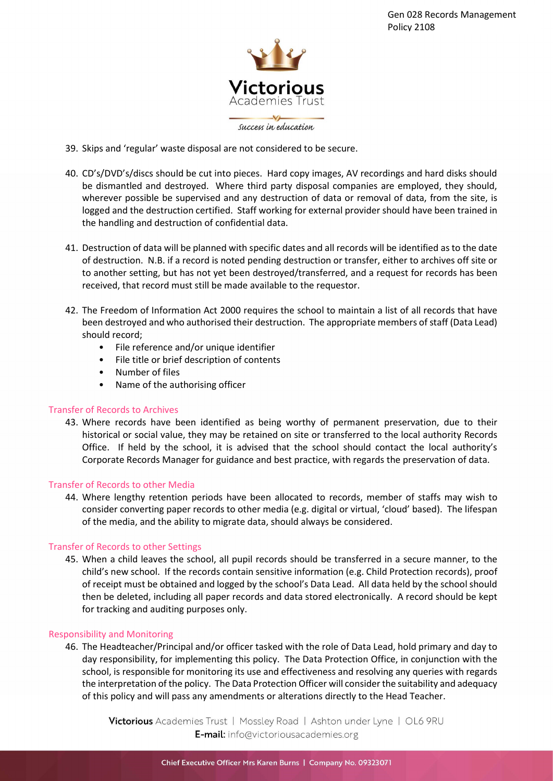

- 39. Skips and 'regular' waste disposal are not considered to be secure.
- 40. CD's/DVD's/discs should be cut into pieces. Hard copy images, AV recordings and hard disks should be dismantled and destroyed. Where third party disposal companies are employed, they should, wherever possible be supervised and any destruction of data or removal of data, from the site, is logged and the destruction certified. Staff working for external provider should have been trained in the handling and destruction of confidential data.
- 41. Destruction of data will be planned with specific dates and all records will be identified as to the date of destruction. N.B. if a record is noted pending destruction or transfer, either to archives off site or to another setting, but has not yet been destroyed/transferred, and a request for records has been received, that record must still be made available to the requestor.
- 42. The Freedom of Information Act 2000 requires the school to maintain a list of all records that have been destroyed and who authorised their destruction. The appropriate members of staff (Data Lead) should record;
	- File reference and/or unique identifier
	- File title or brief description of contents
	- Number of files
	- Name of the authorising officer

### Transfer of Records to Archives

43. Where records have been identified as being worthy of permanent preservation, due to their historical or social value, they may be retained on site or transferred to the local authority Records Office. If held by the school, it is advised that the school should contact the local authority's Corporate Records Manager for guidance and best practice, with regards the preservation of data.

### Transfer of Records to other Media

44. Where lengthy retention periods have been allocated to records, member of staffs may wish to consider converting paper records to other media (e.g. digital or virtual, 'cloud' based). The lifespan of the media, and the ability to migrate data, should always be considered.

### Transfer of Records to other Settings

45. When a child leaves the school, all pupil records should be transferred in a secure manner, to the child's new school. If the records contain sensitive information (e.g. Child Protection records), proof of receipt must be obtained and logged by the school's Data Lead. All data held by the school should then be deleted, including all paper records and data stored electronically. A record should be kept for tracking and auditing purposes only.

### Responsibility and Monitoring

46. The Headteacher/Principal and/or officer tasked with the role of Data Lead, hold primary and day to day responsibility, for implementing this policy. The Data Protection Office, in conjunction with the school, is responsible for monitoring its use and effectiveness and resolving any queries with regards the interpretation of the policy. The Data Protection Officer will consider the suitability and adequacy of this policy and will pass any amendments or alterations directly to the Head Teacher.